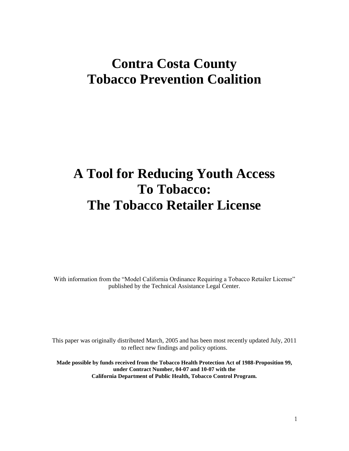## **Contra Costa County Tobacco Prevention Coalition**

# **A Tool for Reducing Youth Access To Tobacco: The Tobacco Retailer License**

With information from the "Model California Ordinance Requiring a Tobacco Retailer License" published by the Technical Assistance Legal Center.

This paper was originally distributed March, 2005 and has been most recently updated July, 2011 to reflect new findings and policy options.

**Made possible by funds received from the Tobacco Health Protection Act of 1988-Proposition 99, under Contract Number, 04-07 and 10-07 with the California Department of Public Health, Tobacco Control Program.**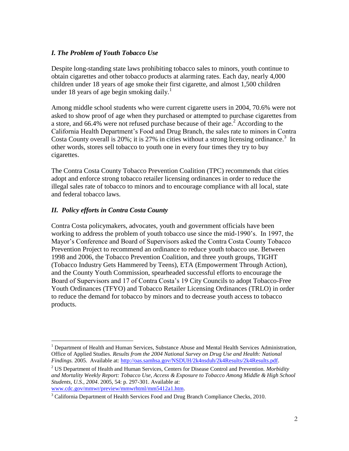#### *I. The Problem of Youth Tobacco Use*

Despite long-standing state laws prohibiting tobacco sales to minors, youth continue to obtain cigarettes and other tobacco products at alarming rates. Each day, nearly 4,000 children under 18 years of age smoke their first cigarette, and almost 1,500 children under 18 years of age begin smoking daily.<sup>1</sup>

Among middle school students who were current cigarette users in 2004, 70.6% were not asked to show proof of age when they purchased or attempted to purchase cigarettes from a store, and 66.4% were not refused purchase because of their age.<sup>2</sup> According to the California Health Department's Food and Drug Branch, the sales rate to minors in Contra Costa County overall is 20%; it is 27% in cities without a strong licensing ordinance.<sup>3</sup> In other words, stores sell tobacco to youth one in every four times they try to buy cigarettes.

The Contra Costa County Tobacco Prevention Coalition (TPC) recommends that cities adopt and enforce strong tobacco retailer licensing ordinances in order to reduce the illegal sales rate of tobacco to minors and to encourage compliance with all local, state and federal tobacco laws.

#### *II. Policy efforts in Contra Costa County*

 $\overline{a}$ 

Contra Costa policymakers, advocates, youth and government officials have been working to address the problem of youth tobacco use since the mid-1990's. In 1997, the Mayor's Conference and Board of Supervisors asked the Contra Costa County Tobacco Prevention Project to recommend an ordinance to reduce youth tobacco use. Between 1998 and 2006, the Tobacco Prevention Coalition, and three youth groups, TIGHT (Tobacco Industry Gets Hammered by Teens), ETA (Empowerment Through Action), and the County Youth Commission, spearheaded successful efforts to encourage the Board of Supervisors and 17 of Contra Costa's 19 City Councils to adopt Tobacco-Free Youth Ordinances (TFYO) and Tobacco Retailer Licensing Ordinances (TRLO) in order to reduce the demand for tobacco by minors and to decrease youth access to tobacco products.

 $<sup>1</sup>$  Department of Health and Human Services, Substance Abuse and Mental Health Services Administration,</sup> Office of Applied Studies. *Results from the 2004 National Survey on Drug Use and Health: National Findings.* 2005. Available at: [http://oas.samhsa.gov/NSDUH/2k4nsduh/2k4Results/2k4Results.pdf.](http://oas.samhsa.gov/NSDUH/2k4nsduh/2k4Results/2k4Results.pdf)

<sup>2</sup> US Department of Health and Human Services, Centers for Disease Control and Prevention. *Morbidity and Mortality Weekly Report: Tobacco Use, Access & Exposure to Tobacco Among Middle & High School Students, U.S., 2004*. 2005, 54: p. 297-301. Available at: [www.cdc.gov/mmwr/preview/mmwrhtml/mm5412a1.htm.](http://www.cdc.gov/mmwr/preview/mmwrhtml/mm5412a1.htm)

 $3$  California Department of Health Services Food and Drug Branch Compliance Checks, 2010.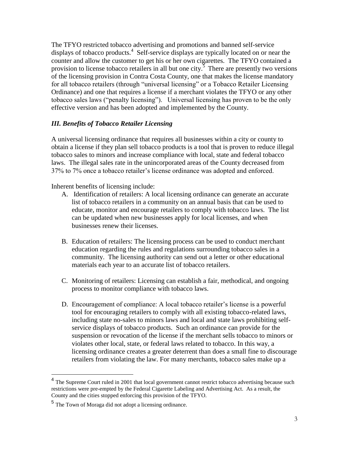The TFYO restricted tobacco advertising and promotions and banned self-service displays of tobacco products.<sup>4</sup> Self-service displays are typically located on or near the counter and allow the customer to get his or her own cigarettes. The TFYO contained a provision to license tobacco retailers in all but one city.<sup>5</sup> There are presently two versions of the licensing provision in Contra Costa County, one that makes the license mandatory for all tobacco retailers (through "universal licensing" or a Tobacco Retailer Licensing Ordinance) and one that requires a license if a merchant violates the TFYO or any other tobacco sales laws ("penalty licensing"). Universal licensing has proven to be the only effective version and has been adopted and implemented by the County.

#### *III. Benefits of Tobacco Retailer Licensing*

A universal licensing ordinance that requires all businesses within a city or county to obtain a license if they plan sell tobacco products is a tool that is proven to reduce illegal tobacco sales to minors and increase compliance with local, state and federal tobacco laws. The illegal sales rate in the unincorporated areas of the County decreased from 37% to 7% once a tobacco retailer's license ordinance was adopted and enforced.

Inherent benefits of licensing include:

- A. Identification of retailers: A local licensing ordinance can generate an accurate list of tobacco retailers in a community on an annual basis that can be used to educate, monitor and encourage retailers to comply with tobacco laws. The list can be updated when new businesses apply for local licenses, and when businesses renew their licenses.
- B. Education of retailers: The licensing process can be used to conduct merchant education regarding the rules and regulations surrounding tobacco sales in a community. The licensing authority can send out a letter or other educational materials each year to an accurate list of tobacco retailers.
- C. Monitoring of retailers: Licensing can establish a fair, methodical, and ongoing process to monitor compliance with tobacco laws.
- D. Encouragement of compliance: A local tobacco retailer's license is a powerful tool for encouraging retailers to comply with all existing tobacco-related laws, including state no-sales to minors laws and local and state laws prohibiting selfservice displays of tobacco products. Such an ordinance can provide for the suspension or revocation of the license if the merchant sells tobacco to minors or violates other local, state, or federal laws related to tobacco. In this way, a licensing ordinance creates a greater deterrent than does a small fine to discourage retailers from violating the law. For many merchants, tobacco sales make up a

 $\overline{a}$ 

<sup>&</sup>lt;sup>4</sup> The Supreme Court ruled in 2001 that local government cannot restrict tobacco advertising because such restrictions were pre-empted by the Federal Cigarette Labeling and Advertising Act. As a result, the County and the cities stopped enforcing this provision of the TFYO.

<sup>&</sup>lt;sup>5</sup> The Town of Moraga did not adopt a licensing ordinance.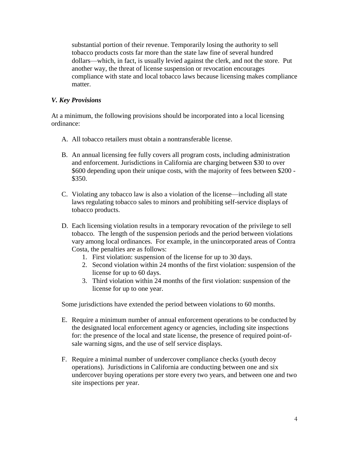substantial portion of their revenue. Temporarily losing the authority to sell tobacco products costs far more than the state law fine of several hundred dollars—which, in fact, is usually levied against the clerk, and not the store. Put another way, the threat of license suspension or revocation encourages compliance with state and local tobacco laws because licensing makes compliance matter.

#### *V. Key Provisions*

At a minimum, the following provisions should be incorporated into a local licensing ordinance:

- A. All tobacco retailers must obtain a nontransferable license.
- B. An annual licensing fee fully covers all program costs, including administration and enforcement. Jurisdictions in California are charging between \$30 to over \$600 depending upon their unique costs, with the majority of fees between \$200 - \$350.
- C. Violating any tobacco law is also a violation of the license—including all state laws regulating tobacco sales to minors and prohibiting self-service displays of tobacco products.
- D. Each licensing violation results in a temporary revocation of the privilege to sell tobacco. The length of the suspension periods and the period between violations vary among local ordinances. For example, in the unincorporated areas of Contra Costa, the penalties are as follows:
	- 1. First violation: suspension of the license for up to 30 days.
	- 2. Second violation within 24 months of the first violation: suspension of the license for up to 60 days.
	- 3. Third violation within 24 months of the first violation: suspension of the license for up to one year.

Some jurisdictions have extended the period between violations to 60 months.

- E. Require a minimum number of annual enforcement operations to be conducted by the designated local enforcement agency or agencies, including site inspections for: the presence of the local and state license, the presence of required point-ofsale warning signs, and the use of self service displays.
- F. Require a minimal number of undercover compliance checks (youth decoy operations). Jurisdictions in California are conducting between one and six undercover buying operations per store every two years, and between one and two site inspections per year.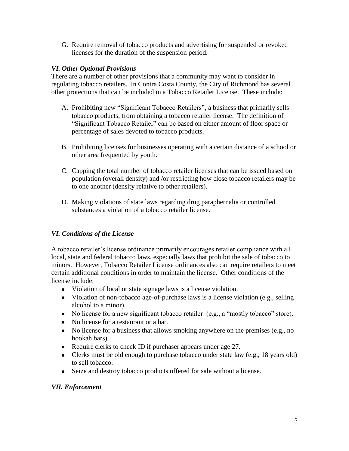G. Require removal of tobacco products and advertising for suspended or revoked licenses for the duration of the suspension period.

#### *VI. Other Optional Provisions*

There are a number of other provisions that a community may want to consider in regulating tobacco retailers. In Contra Costa County, the City of Richmond has several other protections that can be included in a Tobacco Retailer License. These include:

- A. Prohibiting new "Significant Tobacco Retailers", a business that primarily sells tobacco products, from obtaining a tobacco retailer license. The definition of "Significant Tobacco Retailer" can be based on either amount of floor space or percentage of sales devoted to tobacco products.
- B. Prohibiting licenses for businesses operating with a certain distance of a school or other area frequented by youth.
- C. Capping the total number of tobacco retailer licenses that can be issued based on population (overall density) and /or restricting how close tobacco retailers may be to one another (density relative to other retailers).
- D. Making violations of state laws regarding drug paraphernalia or controlled substances a violation of a tobacco retailer license.

### *VI. Conditions of the License*

A tobacco retailer's license ordinance primarily encourages retailer compliance with all local, state and federal tobacco laws, especially laws that prohibit the sale of tobacco to minors. However, Tobacco Retailer License ordinances also can require retailers to meet certain additional conditions in order to maintain the license. Other conditions of the license include:

- Violation of local or state signage laws is a license violation.
- Violation of non-tobacco age-of-purchase laws is a license violation (e.g., selling alcohol to a minor).
- No license for a new significant tobacco retailer (e.g., a "mostly tobacco" store).
- No license for a restaurant or a bar.
- No license for a business that allows smoking anywhere on the premises (e.g., no hookah bars).
- Require clerks to check ID if purchaser appears under age 27.
- Clerks must be old enough to purchase tobacco under state law (e.g., 18 years old) to sell tobacco.
- Seize and destroy tobacco products offered for sale without a license.

#### *VII. Enforcement*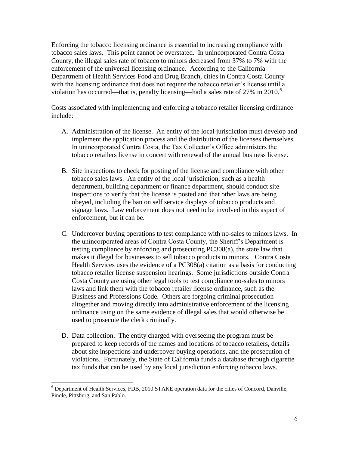Enforcing the tobacco licensing ordinance is essential to increasing compliance with tobacco sales laws. This point cannot be overstated. In unincorporated Contra Costa County, the illegal sales rate of tobacco to minors decreased from 37% to 7% with the enforcement of the universal licensing ordinance. According to the California Department of Health Services Food and Drug Branch, cities in Contra Costa County with the licensing ordinance that does not require the tobacco retailer's license until a violation has occurred—that is, penalty licensing—had a sales rate of 27% in 2010*. 6*

Costs associated with implementing and enforcing a tobacco retailer licensing ordinance include:

- A. Administration of the license. An entity of the local jurisdiction must develop and implement the application process and the distribution of the licenses themselves. In unincorporated Contra Costa, the Tax Collector's Office administers the tobacco retailers license in concert with renewal of the annual business license.
- B. Site inspections to check for posting of the license and compliance with other tobacco sales laws. An entity of the local jurisdiction, such as a health department, building department or finance department, should conduct site inspections to verify that the license is posted and that other laws are being obeyed, including the ban on self service displays of tobacco products and signage laws. Law enforcement does not need to be involved in this aspect of enforcement, but it can be.
- C. Undercover buying operations to test compliance with no-sales to minors laws. In the unincorporated areas of Contra Costa County, the Sheriff's Department is testing compliance by enforcing and prosecuting PC308(a), the state law that makes it illegal for businesses to sell tobacco products to minors. Contra Costa Health Services uses the evidence of a PC308(a) citation as a basis for conducting tobacco retailer license suspension hearings. Some jurisdictions outside Contra Costa County are using other legal tools to test compliance no-sales to minors laws and link them with the tobacco retailer license ordinance, such as the Business and Professions Code. Others are forgoing criminal prosecution altogether and moving directly into administrative enforcement of the licensing ordinance using on the same evidence of illegal sales that would otherwise be used to prosecute the clerk criminally.
- D. Data collection. The entity charged with overseeing the program must be prepared to keep records of the names and locations of tobacco retailers, details about site inspections and undercover buying operations, and the prosecution of violations. Fortunately, the State of California funds a database through cigarette tax funds that can be used by any local jurisdiction enforcing tobacco laws.

 $\overline{a}$  $6$  Department of Health Services, FDB, 2010 STAKE operation data for the cities of Concord, Danville, Pinole, Pittsburg, and San Pablo.